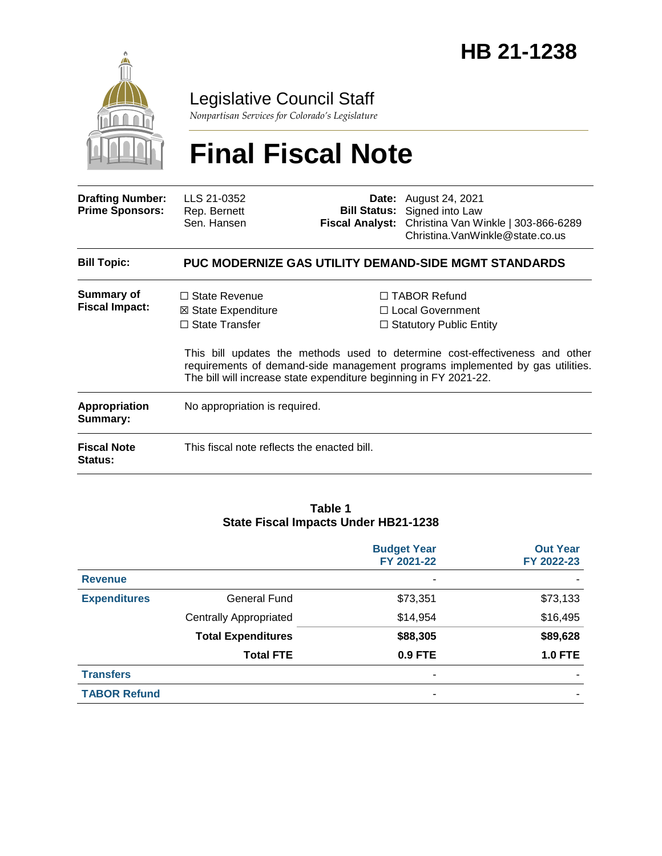

# Legislative Council Staff

*Nonpartisan Services for Colorado's Legislature*

# **Final Fiscal Note**

| <b>Drafting Number:</b><br><b>Prime Sponsors:</b> | LLS 21-0352<br>Rep. Bernett<br>Sen. Hansen                                     |                                                                   | <b>Date:</b> August 24, 2021<br><b>Bill Status:</b> Signed into Law<br>Fiscal Analyst: Christina Van Winkle   303-866-6289<br>Christina. VanWinkle@state.co.us                                                                               |  |
|---------------------------------------------------|--------------------------------------------------------------------------------|-------------------------------------------------------------------|----------------------------------------------------------------------------------------------------------------------------------------------------------------------------------------------------------------------------------------------|--|
| <b>Bill Topic:</b>                                | <b>PUC MODERNIZE GAS UTILITY DEMAND-SIDE MGMT STANDARDS</b>                    |                                                                   |                                                                                                                                                                                                                                              |  |
| Summary of<br><b>Fiscal Impact:</b>               | $\Box$ State Revenue<br>$\boxtimes$ State Expenditure<br>$\Box$ State Transfer | The bill will increase state expenditure beginning in FY 2021-22. | □ TABOR Refund<br>$\Box$ Local Government<br>$\Box$ Statutory Public Entity<br>This bill updates the methods used to determine cost-effectiveness and other<br>requirements of demand-side management programs implemented by gas utilities. |  |
| <b>Appropriation</b><br>Summary:                  | No appropriation is required.                                                  |                                                                   |                                                                                                                                                                                                                                              |  |
| <b>Fiscal Note</b><br>Status:                     | This fiscal note reflects the enacted bill.                                    |                                                                   |                                                                                                                                                                                                                                              |  |

#### **Table 1 State Fiscal Impacts Under HB21-1238**

|                     |                               | <b>Budget Year</b><br>FY 2021-22 | <b>Out Year</b><br>FY 2022-23 |
|---------------------|-------------------------------|----------------------------------|-------------------------------|
| <b>Revenue</b>      |                               | ۰                                |                               |
| <b>Expenditures</b> | General Fund                  | \$73,351                         | \$73,133                      |
|                     | <b>Centrally Appropriated</b> | \$14,954                         | \$16,495                      |
|                     | <b>Total Expenditures</b>     | \$88,305                         | \$89,628                      |
|                     | <b>Total FTE</b>              | 0.9 FTE                          | <b>1.0 FTE</b>                |
| <b>Transfers</b>    |                               | ۰                                |                               |
| <b>TABOR Refund</b> |                               | ۰                                |                               |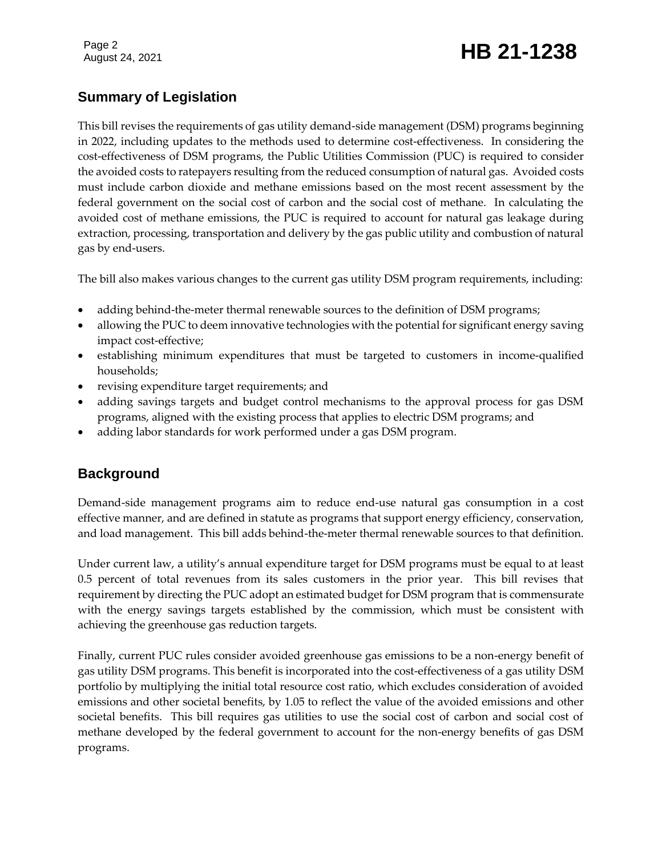# Page 2<br>August 24, 2021 **HB 21-1238**

# **Summary of Legislation**

This bill revises the requirements of gas utility demand-side management (DSM) programs beginning in 2022, including updates to the methods used to determine cost-effectiveness. In considering the cost-effectiveness of DSM programs, the Public Utilities Commission (PUC) is required to consider the avoided costs to ratepayers resulting from the reduced consumption of natural gas. Avoided costs must include carbon dioxide and methane emissions based on the most recent assessment by the federal government on the social cost of carbon and the social cost of methane. In calculating the avoided cost of methane emissions, the PUC is required to account for natural gas leakage during extraction, processing, transportation and delivery by the gas public utility and combustion of natural gas by end-users.

The bill also makes various changes to the current gas utility DSM program requirements, including:

- adding behind-the-meter thermal renewable sources to the definition of DSM programs;
- allowing the PUC to deem innovative technologies with the potential for significant energy saving impact cost-effective;
- establishing minimum expenditures that must be targeted to customers in income-qualified households;
- revising expenditure target requirements; and
- adding savings targets and budget control mechanisms to the approval process for gas DSM programs, aligned with the existing process that applies to electric DSM programs; and
- adding labor standards for work performed under a gas DSM program.

# **Background**

Demand-side management programs aim to reduce end-use natural gas consumption in a cost effective manner, and are defined in statute as programs that support energy efficiency, conservation, and load management. This bill adds behind-the-meter thermal renewable sources to that definition.

Under current law, a utility's annual expenditure target for DSM programs must be equal to at least 0.5 percent of total revenues from its sales customers in the prior year. This bill revises that requirement by directing the PUC adopt an estimated budget for DSM program that is commensurate with the energy savings targets established by the commission, which must be consistent with achieving the greenhouse gas reduction targets.

Finally, current PUC rules consider avoided greenhouse gas emissions to be a non-energy benefit of gas utility DSM programs. This benefit is incorporated into the cost-effectiveness of a gas utility DSM portfolio by multiplying the initial total resource cost ratio, which excludes consideration of avoided emissions and other societal benefits, by 1.05 to reflect the value of the avoided emissions and other societal benefits. This bill requires gas utilities to use the social cost of carbon and social cost of methane developed by the federal government to account for the non-energy benefits of gas DSM programs.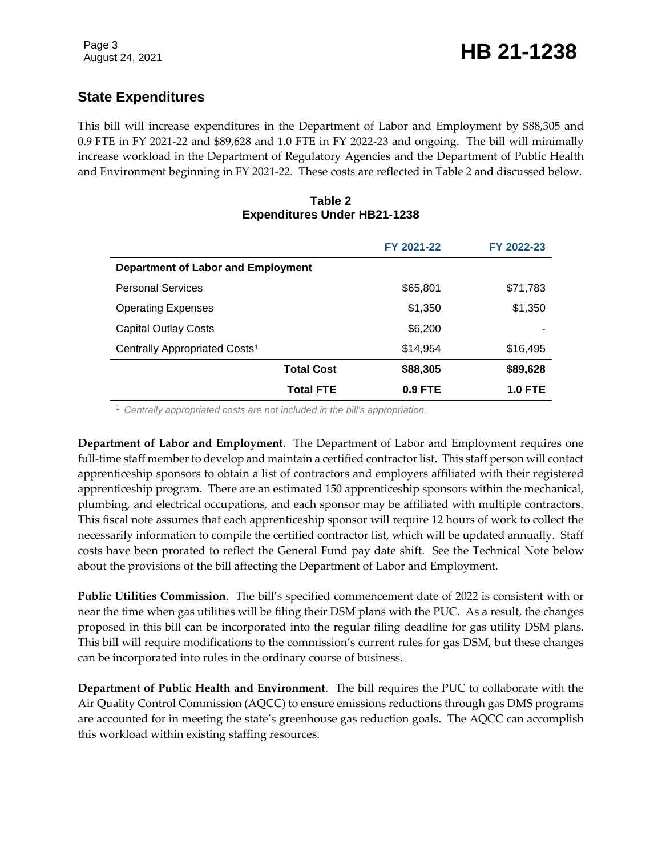# **State Expenditures**

This bill will increase expenditures in the Department of Labor and Employment by \$88,305 and 0.9 FTE in FY 2021-22 and \$89,628 and 1.0 FTE in FY 2022-23 and ongoing. The bill will minimally increase workload in the Department of Regulatory Agencies and the Department of Public Health and Environment beginning in FY 2021-22. These costs are reflected in Table 2 and discussed below.

#### **Table 2 Expenditures Under HB21-1238**

|                                           | FY 2021-22 | FY 2022-23     |
|-------------------------------------------|------------|----------------|
| Department of Labor and Employment        |            |                |
| <b>Personal Services</b>                  | \$65,801   | \$71,783       |
| <b>Operating Expenses</b>                 | \$1,350    | \$1,350        |
| <b>Capital Outlay Costs</b>               | \$6,200    |                |
| Centrally Appropriated Costs <sup>1</sup> | \$14.954   | \$16,495       |
| <b>Total Cost</b>                         | \$88,305   | \$89,628       |
| <b>Total FTE</b>                          | $0.9$ FTE  | <b>1.0 FTE</b> |

<sup>1</sup> *Centrally appropriated costs are not included in the bill's appropriation.*

**Department of Labor and Employment**. The Department of Labor and Employment requires one full-time staff member to develop and maintain a certified contractor list. This staff person will contact apprenticeship sponsors to obtain a list of contractors and employers affiliated with their registered apprenticeship program. There are an estimated 150 apprenticeship sponsors within the mechanical, plumbing, and electrical occupations, and each sponsor may be affiliated with multiple contractors. This fiscal note assumes that each apprenticeship sponsor will require 12 hours of work to collect the necessarily information to compile the certified contractor list, which will be updated annually. Staff costs have been prorated to reflect the General Fund pay date shift. See the Technical Note below about the provisions of the bill affecting the Department of Labor and Employment.

**Public Utilities Commission**. The bill's specified commencement date of 2022 is consistent with or near the time when gas utilities will be filing their DSM plans with the PUC. As a result, the changes proposed in this bill can be incorporated into the regular filing deadline for gas utility DSM plans. This bill will require modifications to the commission's current rules for gas DSM, but these changes can be incorporated into rules in the ordinary course of business.

**Department of Public Health and Environment**. The bill requires the PUC to collaborate with the Air Quality Control Commission (AQCC) to ensure emissions reductions through gas DMS programs are accounted for in meeting the state's greenhouse gas reduction goals. The AQCC can accomplish this workload within existing staffing resources.